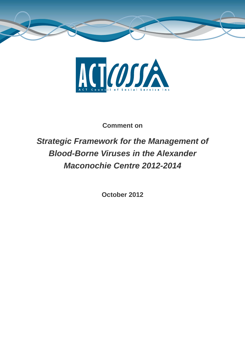



**Comment on** 

# *Strategic Framework for the Management of Blood-Borne Viruses in the Alexander Maconochie Centre 2012-2014*

**October 2012**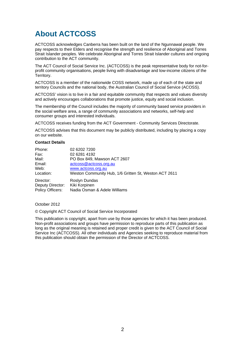## **About ACTCOSS**

ACTCOSS acknowledges Canberra has been built on the land of the Ngunnawal people. We pay respects to their Elders and recognise the strength and resilience of Aboriginal and Torres Strait Islander peoples. We celebrate Aboriginal and Torres Strait Islander cultures and ongoing contribution to the ACT community.

The ACT Council of Social Service Inc. (ACTCOSS) is the peak representative body for not-forprofit community organisations, people living with disadvantage and low-income citizens of the Territory.

ACTCOSS is a member of the nationwide COSS network, made up of each of the state and territory Councils and the national body, the Australian Council of Social Service (ACOSS).

ACTCOSS' vision is to live in a fair and equitable community that respects and values diversity and actively encourages collaborations that promote justice, equity and social inclusion.

The membership of the Council includes the majority of community based service providers in the social welfare area, a range of community associations and networks, self-help and consumer groups and interested individuals.

ACTCOSS receives funding from the ACT Government - Community Services Directorate.

ACTCOSS advises that this document may be publicly distributed, including by placing a copy on our website.

#### **Contact Details**

| Phone:           | 02 6202 7200                                          |
|------------------|-------------------------------------------------------|
| Fax:             | 02 6281 4192                                          |
| Mail:            | PO Box 849, Mawson ACT 2607                           |
| Email:           | actcoss@actcoss.org.au                                |
| Web:             | www.actcoss.org.au                                    |
| Location:        | Weston Community Hub, 1/6 Gritten St, Weston ACT 2611 |
| Director:        | Roslyn Dundas                                         |
| Deputy Director: | Kiki Korpinen                                         |
| Policy Officers: | Nadia Osman & Adele Williams                          |

October 2012

© Copyright ACT Council of Social Service Incorporated

This publication is copyright, apart from use by those agencies for which it has been produced. Non-profit associations and groups have permission to reproduce parts of this publication as long as the original meaning is retained and proper credit is given to the ACT Council of Social Service Inc (ACTCOSS). All other individuals and Agencies seeking to reproduce material from this publication should obtain the permission of the Director of ACTCOSS.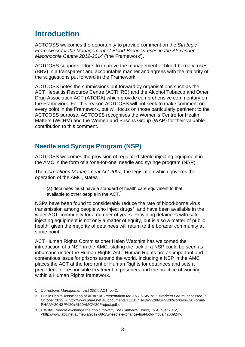### **Introduction**

ACTCOSS welcomes the opportunity to provide comment on the *Strategic Framework for the Management of Blood-Borne Viruses in the Alexander Maconochie Centre 2012-2014* ('the Framework').

ACTCOSS supports efforts to improve the management of blood-borne viruses (BBV) in a transparent and accountable manner and agrees with the majority of the suggestions put forward in the Framework.

ACTCOSS notes the submissions put forward by organisations such as the ACT Hepatitis Resource Centre (ACTHRC) and the Alcohol Tobacco and Other Drug Association ACT (ATODA) which provide comprehensive commentary on the Framework. For this reason ACTCOSS will not seek to make comment on every point in the Framework, but will focus on those particularly pertinent to the ACTCOSS purpose. ACTCOSS recognises the Women's Centre for Health Matters (WCHM) and the Women and Prisons Group (WAP) for their valuable contribution to this comment.

#### **Needle and Syringe Program (NSP)**

ACTCOSS welcomes the provision of regulated sterile injecting equipment in the AMC in the form of a 'one-for-one' needle and syringe program (NSP).

The *Corrections Management Act 2007,* the legislation which governs the operation of the AMC, states

(a) detainees must have a standard of health care equivalent to that available to other people in the  $ACT.<sup>1</sup>$ 

NSPs have been found to considerably reduce the rate of blood-borne virus transmission among people who inject drugs<sup>2</sup>, and have been available in the wider ACT community for a number of years. Providing detainees with safe injecting equipment is not only a matter of equity, but is also a matter of public health, given the majority of detainees will return to the borader community at some point.

ACT Human Rights Commissioner Helen Watchirs has welcomed the introduction of a NSP in the AMC, stating the lack of a NSP could be seen as inhumane under the Human Rights Act. $3$  Human Rights are an important and contentious issue for prisons around the world. Including a NSP in the AMC places the ACT at the forefront of Human Rights for detainees and sets a precedent for responsible treatment of prisoners and the practice of working within a Human Rights framework.

l

<sup>1</sup> *Corrections Management Act 2007*, ACT, p.42.

<sup>2</sup> Public Health Association of Australia, *Presentation for 2011 NSW NSP Workers Forum*, accessed 29 October 2012, < http://www.phaa.net.au/documents/111017\_NSW%20NSP%20Workers%20Forum-PHAA%20NSP%20in%20AMC%20Project.pdf>.

<sup>3</sup> L Willis, 'Needle exchange trial "bold move"', *The Canberra Times*, 15 August 2012, <http://www.abc.net.au/news/2012-08-15/needle-exchange-trial-bold-move/4200924>.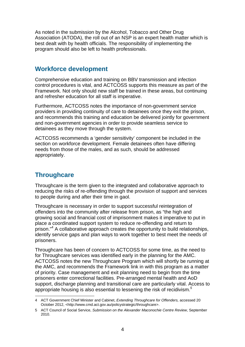As noted in the submission by the Alcohol, Tobacco and Other Drug Association (ATODA), the roll out of an NSP is an expert health matter which is best dealt with by health officials. The responsibility of implementing the program should also be left to health professionals.

#### **Workforce development**

Comprehensive education and training on BBV transmission and infection control procedures is vital, and ACTCOSS supports this measure as part of the Framework. Not only should new staff be trained in these areas, but continuing and refresher education for all staff is imperative.

Furthermore, ACTCOSS notes the importance of non-government service providers in providing continuity of care to detainees once they exit the prison, and recommends this training and education be delivered jointly for government and non-government agencies in order to provide seamless service to detainees as they move through the system.

ACTCOSS recommends a 'gender sensitivity' component be included in the section on workforce development. Female detainees often have differing needs from those of the males, and as such, should be addressed appropriately.

### **Throughcare**

Throughcare is the term given to the integrated and collaborative approach to reducing the risks of re-offending through the provision of support and services to people during and after their time in gaol.

Throughcare is necessary in order to support successful reintegration of offenders into the community after release from prison, as "the high and growing social and financial cost of imprisonment makes it imperative to put in place a coordinated support system to reduce re-offending and return to prison."<sup>4</sup> A collaborative approach creates the opportunity to build relationships, identify service gaps and plan ways to work together to best meet the needs of prisoners.

Throughcare has been of concern to ACTCOSS for some time, as the need to for Throughcare services was identified early in the planning for the AMC. ACTCOSS notes the new Throughcare Program which will shortly be running at the AMC, and recommends the Framework link in with this program as a matter of priority. Case management and exit planning need to begin from the time prisoners enter correctional facilities. Pre-arranged mental health and AoD support, discharge planning and transitional care are particularly vital. Access to appropriate housing is also essential to lessening the risk of recidivism.*<sup>5</sup>*

 $\overline{a}$ 4 ACT Government Chief Minister and Cabinet, *Extending Throughcare for Offenders,* accessed 20 October 2012, <http://www.cmd.act.gov.au/policystrategic/throughcare>.

<sup>5</sup> ACT Council of Social Service, *Submission on the Alexander Maconochie Centre Review*, September 2010.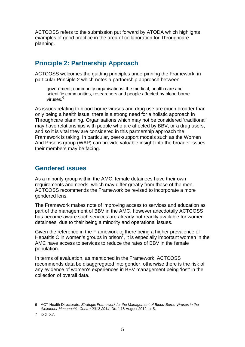ACTCOSS refers to the submission put forward by ATODA which highlights examples of good practice in the area of collaboration for Throughcare planning.

#### **Principle 2: Partnership Approach**

ACTCOSS welcomes the guiding principles underpinning the Framework, in particular Principle 2 which notes a partnership approach between

government, community organisations, the medical, health care and scientific communities, researchers and people affected by blood-borne viruses.<sup>6</sup>

As issues relating to blood-borne viruses and drug use are much broader than only being a health issue, there is a strong need for a holistic approach in Throughcare planning. Organisations which may not be considered 'traditional' may have relationships with people who are affected by BBV, or a drug users, and so it is vital they are considered in this partnership approach the Framework is taking. In particular, peer-support models such as the Women And Prisons group (WAP) can provide valuable insight into the broader issues their members may be facing.

#### **Gendered issues**

As a minority group within the AMC, female detainees have their own requirements and needs, which may differ greatly from those of the men. ACTCOSS recommends the Framework be revised to incorporate a more gendered lens.

The Framework makes note of improving access to services and education as part of the management of BBV in the AMC, however anecdotally ACTCOSS has become aware such services are already not readily available for women detainees, due to their being a minority and operational issues.

Given the reference in the Framework to there being a higher prevalence of Hepatitis C in women's groups in prison<sup>7</sup>, it is especially important women in the AMC have access to services to reduce the rates of BBV in the female population.

In terms of evaluation, as mentioned in the Framework, ACTCOSS recommends data be disaggregated into gender, otherwise there is the risk of any evidence of women's experiences in BBV management being 'lost' in the collection of overall data.

l 6 ACT Health Directorate, *Strategic Framework for the Management of Blood-Borne Viruses in the Alexander Maconochie Centre 2012-2014*, Draft 15 August 2012, p. 5.

<sup>7</sup> ibid, p.7.